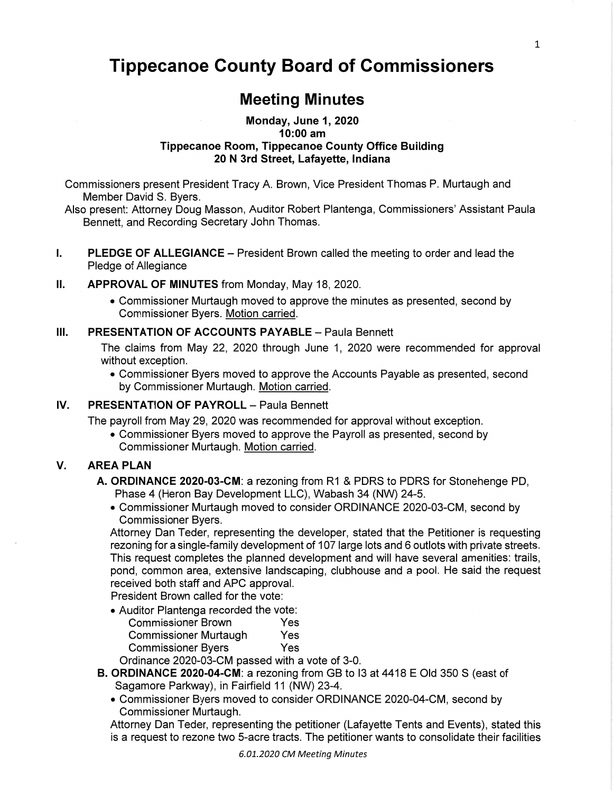# **Tippecanoe County Board** of **Commissioners**

# Meeting **Minutes**

#### **Monday, June** 1, **2020 10:00** am **Tippecanoe Room, Tippecanoe County Office** Building 20 N 3rd **Street, Lafayette, Indiana**

Commissioners present President Tracy A. Brown, Vice President Thomas P. Murtaugh and Member David S. Byers.

Also present: Attorney Doug Masson, Auditor Robert Plantenga, **Commissioners'** Assistant Paula Bennett, and Recording Secretary **John** Thomas.

I. PLEDGE OF ALLEGIANCE *—* President Brown called the meeting to order and lead the Pledge of Allegiance

#### ll. APPROVAL OF MINUTES from Monday, May 18, 2020.

**0** Commissioner Murtaugh moved to approve the minutes as **presented,** second by Commissioner Byers. Motion carried.

#### **III. PRESENTATION** OF **ACCOUNTS** PAYABLE **—** Paula Bennett

The claims **from** May 22, 2020 through June 1, **2020** were recommended for approval without exception.

**0 Commissioner** Byers moved to approve the Accounts Payable as presented, second by **Commissioner** Murtaugh. Motion carried.

# **IV. PRESENTATION OF PAYROLL - Paula Bennett**

The **payroll** from May 29, 2020 was recommended for approval without exception.

**.** Commissioner Byers moved to approve the Payroll as presented, second by Commissioner Murtaugh. Motion carried.

# V. AREA PLAN

- A. ORDINANCE 2020-03-CM: a rezoning from R1 & PDRS to PDRS for Stonehenge PD, Phase 4 (Heron Bay Development LLC), Wabash 34 (NW) 24-5.
	- **.** Commissioner Murtaugh moved to consider ORDINANCE 2020-03-CM, second by Commissioner Byers.

Attorney Dan Teder, representing the developer, stated **that** the Petitioner is requesting rezoning for a single-family development of 107 large **lots** and 6 outlots with private streets. This request completes the planned development and will have several amenities: trails, pond, common area, extensive landscaping, clubhouse and a pool. He said the **request**  received **both staff** and APC approval.

President Brown called for the vote:

- *.* Auditor Plantenga recorded the vote:
	- Commissioner Brown Yes Commissioner Murtaugh Yes Commissioner Byers Yes

Ordinance 2020-03-CM passed with a vote of 3-0.

- B. ORDINANCE 2020-04-CM: a rezoning from GB to l3 at 4418 E Old 350 8 (east of Sagamore Parkway), in Fairfield 11 (NW) 23-4.
	- **0** Commissioner Byers moved to consider ORDINANCE 2020-04—CM, second by Commissioner Murtaugh.

Attorney Dan Teder, representing the **petitioner** (Lafayette Tents and Events), stated **this**  is *a* request to rezone two 5-acre tracts. The petitioner wants to consolidate their facilities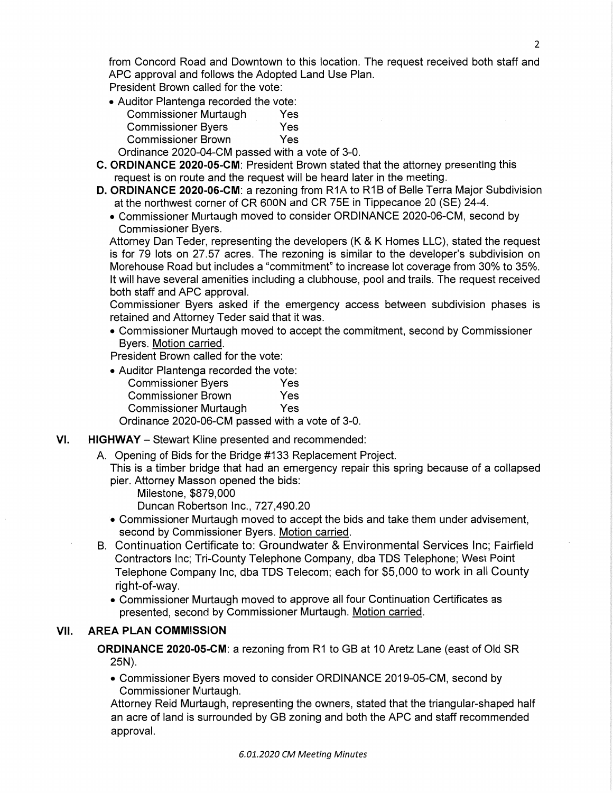from Concord Road and Downtown to this location. The request received both staff and APC approval and follows the Adopted **Land** Use Plan.

**President** Brown called for the vote:

**.** Auditor Plantenga **recorded** the vote:

| <b>Commissioner Murtaugh</b> | Yes |
|------------------------------|-----|
| <b>Commissioner Byers</b>    | Yes |
| <b>Commissioner Brown</b>    | Yes |

- Ordinance 2020—04—CM **passed** with a vote of 3-0.
- G. ORDINANCE 2020-05-CM: President Brown stated **that** the attorney presenting this request is on route and the request will be **heard** later in the meeting.
- **D. ORDINANCE 2020-06-CM:** a rezoning from R1A to R1B of Belle Terra Major Subdivision at the northwest corner of CR SOON and CR 75E in Tippecanoe 20 (SE) 24-4.
	- *.* **Commissioner** Murtaugh moved to consider ORDINANCE 2020-06-CM, second by Commissioner Byers.

Attorney Dan Teder, representing the developers (K *&* K Homes LLC), stated the request is for 79 **lots** on 27.57 acres. The rezoning is similar to the **developer's** subdivision on Morehouse Road but includes a "commitment" to increase lot coverage from 30% to 35%. It will have several amenities including a clubhouse, pool and trails. The request received both **staff** and APC approval.

Commissioner Byers asked if the emergency access between subdivision **phases** is retained and Attorney Teder said **that** it *was.* 

**.** Commissioner Murtaugh moved to accept the commitment, second by Commissioner Byers. Motion carried.

**President** Brown called for the vote:

**-** Auditor Plantenga recorded the vote: **Commissioner** Byers Yes **Commissioner** Brown Yes Commissioner Murtaugh Yes

Ordinance 2020—06—CM passed with a vote of 3-0.

- VI. **HIGHWAY** Stewart **Kline** presented and recommended:
	- A. Opening of Bids for the Bridge #133 Replacement Project.
		- This is a **timber** bridge **that** had an emergency **repair this** spring because of a **collapsed**  pier. Attorney Masson opened the **bids:** 
			- Milestone, \$879,000

Duncan Robertson lnc., 727,490.20

- '0 Commissioner Murtaugh moved to accept the bids and **take** them under advisement, second by **Commissioner** Byers. Motion carried.
- B. Continuation Certificate to: Groundwater & Environmental Services Inc; Fairfield Contractors Inc; Tri-County Telephone Company, dba TDS Telephone; West Point Telephone Company Inc, dba TDS Telecom; each for \$5,000 to work in all County right-of-way.
	- **.** Commissioner Murtaugh moved to approve all four Continuation Certificates as **presented,** second by Commissioner Murtaugh. Motion carried.

## **VII. AREA** PLAN COMMISSION

**ORDINANCE** 2020-05-CM: **a** rezoning from R1 to GB at 10 Aretz Lane (east of Old SR 25N).

*.* Commissioner Byers moved to consider ORDINANCE 2019-05-CM, second by Commissioner Murtaugh.

Attorney Reid Murtaugh, representing the owners, stated that the triangular-shaped **half**  an acre of land is surrounded by GB zoning and both the APC and staff recommended approval.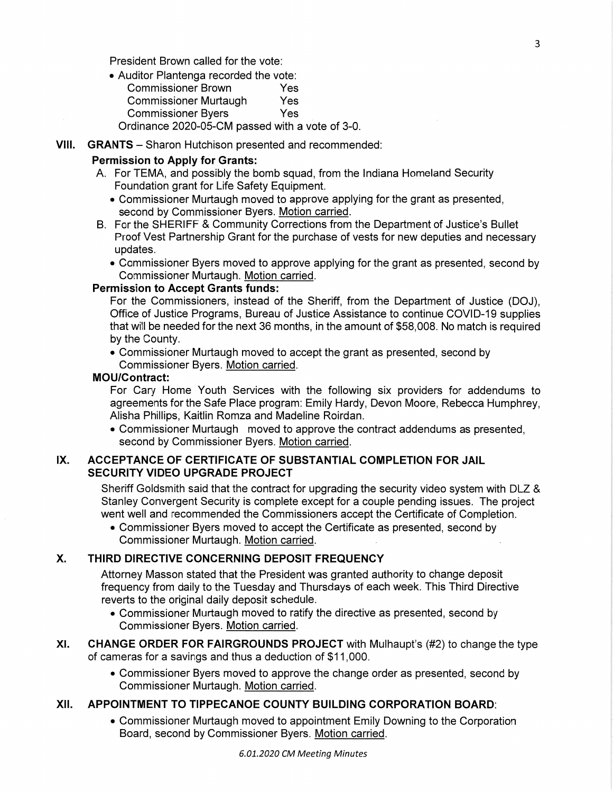President Brown called for the vote:

- *.* Auditor Plantenga recorded the vote: Commissioner Brown Yes Commissioner Murtaugh Yes Commissioner Byers Yes Ordinance 2020—05-CM passed with a Vote of 3-0.
- **VIII. GRANTS** Sharon Hutchison presented and **recommended:**

#### **Permission** to Apply for Grants:

- A. For TEMA, and **possibly** the bomb squad, from the Indiana Homeland Security Foundation grant for **Life** Safety Equipment.
	- **.** Commissioner Murtaugh moved to approve applying for the grant as presented, second by Commissioner Byers. Motion carried.
- B. For the SHERIFF & Community Corrections from the Department of Justice's Bullet Proof Vest Partnership Grant for the purchase of vests for new deputies and necessary updates.
	- *.* Commissioner Byers moved to approve applying for the grant as presented, second by Commissioner Murtaugh. Motion carried.

# **Permission** to **Accept Grants funds:**

For the Commissioners, instead of the **Sheriff,** from the Department of Justice (DOJ), Office of Justice Programs, Bureau of Justice Assistance to continue COVID-19 **supplies that** will be needed **forthe** next 36 months, in the amount of \$58,008. No match is required by the County.

**. Commissioner** Murtaugh moved to accept the grant as presented, second by **Commissioner** Byers. Motion carried.

#### **MOUlContract:**

For Cary Home Youth Services with the following six providers for addendums to agreements for the Safe Place program: Emily Hardy, Devon Moore, Rebecca Humphrey, Alisha **Phillips,** Kaitlin Romza and Madeline Roirdan.

**. Commissioner** Murtaugh moved to approve the contract addendums as presented, second by Commissioner Byers. Motion carried.

## IX. **ACCEPTANCE** OF **CERTIFICATE** OF **SUBSTANTIAL** COMPLETION FOR **JAIL SECURITY** VIDEO UPGRADE PROJECT

Sheriff Goldsmith said that the contract for upgrading the security video **system** with DLZ *&*  Stanley Convergent Security is complete except for a couple pending **issues.** The project went well and recommended the **Commissioners** accept the Certificate of **Completion.** 

**.** Commissioner Byers moved to accept the Certificate as presented, second by **Commissioner** Murtaugh. Motion carried.

#### X. **THIRD** DIRECTIVE CONCERNING **DEPOSIT** FREQUENCY

Attorney Masson stated **that** the President was granted **authority** to change **deposit**  frequency from daily to the **Tuesday** and Thursdays of each week. This Third Directive reverts to the original daily **deposit** schedule.

**.** Commissioner Murtaugh moved to **ratify** the directive as **presented,** second by Commissioner Byers. Motion carried.

#### XI. CHANGE ORDER FOR **FAIRGROUNDS** PROJECT with Mulhaupt's (#2) to change the type of cameras for **a** savings and **thus** a deduction of \$1 1 ,OOO.

**. Commissioner** Byers moved to approve the change order as **presented,** second by Commissioner Murtaugh. Motion carried.

## **XII.** APPOINTMENT TO TIPPECANOE **COUNTY BUILDING CORPORATION** BOARD:

*.* **Commissioner** Murtaugh moved to appointment Emily Downing to the Corporation Board, second by **Commissioner** Byers. Motion carried.